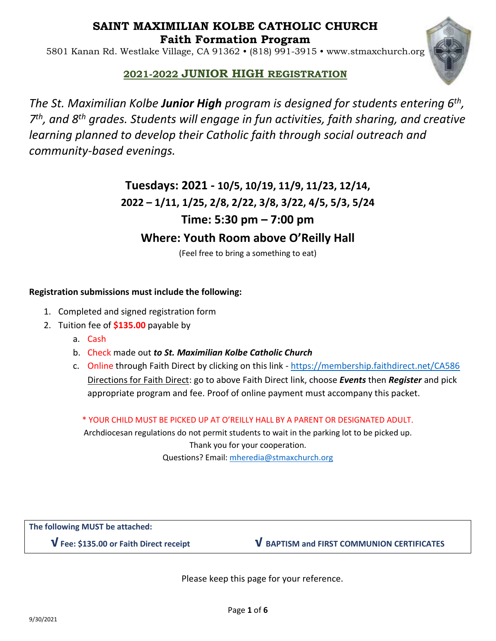## **SAINT MAXIMILIAN KOLBE CATHOLIC CHURCH Faith Formation Program**

5801 Kanan Rd. Westlake Village, CA 91362 • (818) 991-3915 • www.stmaxchurch.org



## **2021-2022 JUNIOR HIGH REGISTRATION**

*The St. Maximilian Kolbe Junior High program is designed for students entering 6th , 7 th, and 8th grades. Students will engage in fun activities, faith sharing, and creative learning planned to develop their Catholic faith through social outreach and community-based evenings.*

# **Tuesdays: 2021 - 10/5, 10/19, 11/9, 11/23, 12/14, 2022 – 1/11, 1/25, 2/8, 2/22, 3/8, 3/22, 4/5, 5/3, 5/24 Time: 5:30 pm – 7:00 pm Where: Youth Room above O'Reilly Hall**

(Feel free to bring a something to eat)

### **Registration submissions must include the following:**

- 1. Completed and signed registration form
- 2. Tuition fee of **\$135.00** payable by
	- a. Cash
	- b. Check made out *to St. Maximilian Kolbe Catholic Church*
	- c. Online through Faith Direct by clicking on this link <https://membership.faithdirect.net/CA586> Directions for Faith Direct: go to above Faith Direct link, choose *Events* then *Register* and pick appropriate program and fee. Proof of online payment must accompany this packet.

\* YOUR CHILD MUST BE PICKED UP AT O'REILLY HALL BY A PARENT OR DESIGNATED ADULT.

Archdiocesan regulations do not permit students to wait in the parking lot to be picked up. Thank you for your cooperation. Questions? Email: [mheredia@stmaxchurch.org](mailto:mheredia@stmaxchurch.org)

**The following MUST be attached:**

**√ Fee: \$135.00 or Faith Direct receipt √ BAPTISM and FIRST COMMUNION CERTIFICATES**

Please keep this page for your reference.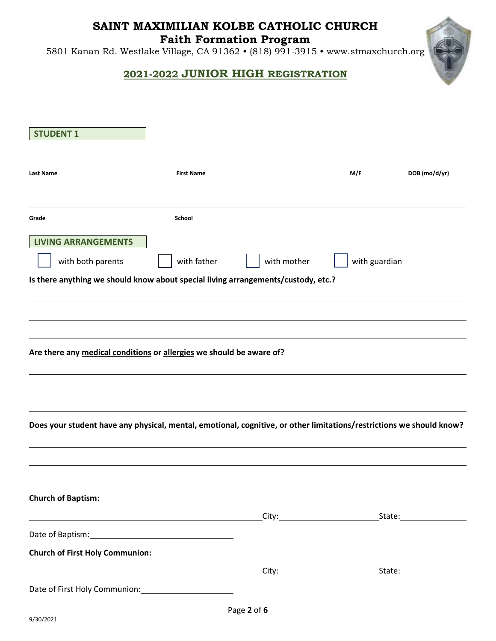## **SAINT MAXIMILIAN KOLBE CATHOLIC CHURCH**

**Faith Formation Program** 

5801 Kanan Rd. Westlake Village, CA 91362 • (818) 991-3915 • www.stmaxchurch.org

## **2021-2022 JUNIOR HIGH REGISTRATION**

| <b>STUDENT 1</b>                                                                                                     |                                                                                                                      |             |               |               |
|----------------------------------------------------------------------------------------------------------------------|----------------------------------------------------------------------------------------------------------------------|-------------|---------------|---------------|
| <b>Last Name</b>                                                                                                     | <b>First Name</b>                                                                                                    |             | M/F           | DOB (mo/d/yr) |
|                                                                                                                      |                                                                                                                      |             |               |               |
| Grade                                                                                                                | School                                                                                                               |             |               |               |
| <b>LIVING ARRANGEMENTS</b>                                                                                           |                                                                                                                      |             |               |               |
| with both parents                                                                                                    | with father                                                                                                          | with mother | with guardian |               |
| Is there anything we should know about special living arrangements/custody, etc.?                                    |                                                                                                                      |             |               |               |
|                                                                                                                      |                                                                                                                      |             |               |               |
|                                                                                                                      |                                                                                                                      |             |               |               |
|                                                                                                                      |                                                                                                                      |             |               |               |
| Are there any medical conditions or allergies we should be aware of?                                                 |                                                                                                                      |             |               |               |
|                                                                                                                      |                                                                                                                      |             |               |               |
|                                                                                                                      |                                                                                                                      |             |               |               |
| Does your student have any physical, mental, emotional, cognitive, or other limitations/restrictions we should know? |                                                                                                                      |             |               |               |
|                                                                                                                      |                                                                                                                      |             |               |               |
|                                                                                                                      |                                                                                                                      |             |               |               |
|                                                                                                                      |                                                                                                                      |             |               |               |
|                                                                                                                      |                                                                                                                      |             |               |               |
|                                                                                                                      |                                                                                                                      |             |               |               |
|                                                                                                                      | <u> Alexandria de la construcción de la construcción de la construcción de la construcción de la construcción de</u> |             |               |               |
|                                                                                                                      |                                                                                                                      |             |               |               |
| <b>Church of Baptism:</b><br><b>Church of First Holy Communion:</b>                                                  |                                                                                                                      |             |               |               |
|                                                                                                                      |                                                                                                                      |             |               |               |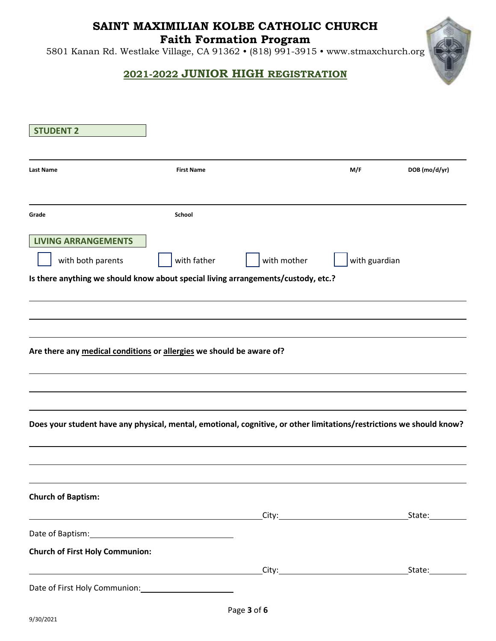# **SAINT MAXIMILIAN KOLBE CATHOLIC CHURCH**

**Faith Formation Program** 

5801 Kanan Rd. Westlake Village, CA 91362 • (818) 991-3915 • www.stmaxchurch.org

## **2021-2022 JUNIOR HIGH REGISTRATION**

| <b>STUDENT 2</b>                                                                                                                     |                   |             |               |               |
|--------------------------------------------------------------------------------------------------------------------------------------|-------------------|-------------|---------------|---------------|
| <b>Last Name</b>                                                                                                                     | <b>First Name</b> |             | M/F           | DOB (mo/d/yr) |
| Grade                                                                                                                                | School            |             |               |               |
| <b>LIVING ARRANGEMENTS</b><br>with both parents<br>Is there anything we should know about special living arrangements/custody, etc.? | with father       | with mother | with guardian |               |
|                                                                                                                                      |                   |             |               |               |
| Are there any medical conditions or allergies we should be aware of?                                                                 |                   |             |               |               |
| Does your student have any physical, mental, emotional, cognitive, or other limitations/restrictions we should know?                 |                   |             |               |               |
| <b>Church of Baptism:</b>                                                                                                            |                   |             |               |               |
|                                                                                                                                      |                   |             |               |               |
| <b>Church of First Holy Communion:</b>                                                                                               |                   |             |               |               |
|                                                                                                                                      |                   |             |               |               |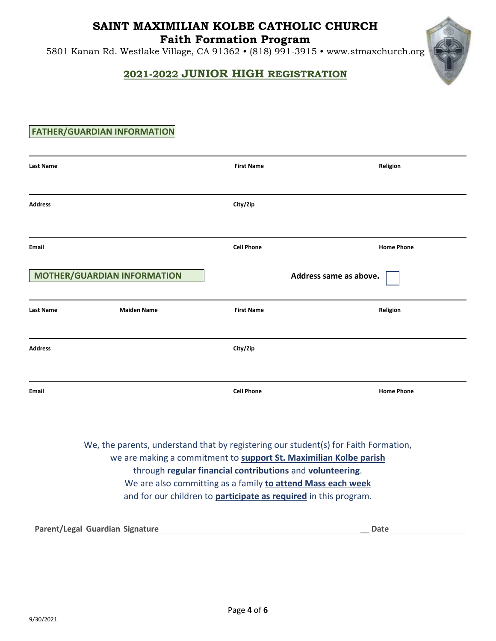# **SAINT MAXIMILIAN KOLBE CATHOLIC CHURCH**

**Faith Formation Program** 

5801 Kanan Rd. Westlake Village, CA 91362 • (818) 991-3915 • www.stmaxchurch.org

### **2021-2022 JUNIOR HIGH REGISTRATION**

### **FATHER/GUARDIAN INFORMATION**

| <b>Last Name</b> |                                                                                     | <b>First Name</b>                                                 | Religion               |
|------------------|-------------------------------------------------------------------------------------|-------------------------------------------------------------------|------------------------|
| <b>Address</b>   |                                                                                     | City/Zip                                                          |                        |
| <b>Email</b>     |                                                                                     | <b>Cell Phone</b>                                                 | <b>Home Phone</b>      |
|                  | <b>MOTHER/GUARDIAN INFORMATION</b>                                                  |                                                                   | Address same as above. |
| <b>Last Name</b> | <b>Maiden Name</b>                                                                  | <b>First Name</b>                                                 | Religion               |
| <b>Address</b>   |                                                                                     | City/Zip                                                          |                        |
| <b>Email</b>     |                                                                                     | <b>Cell Phone</b>                                                 | <b>Home Phone</b>      |
|                  | We, the parents, understand that by registering our student(s) for Faith Formation, | we are making a commitment to support St. Maximilian Kolbe parish |                        |

through **regular financial contributions** and **volunteering**.

We are also committing as a family **to attend Mass each week**  and for our children to **participate as required** in this program.

**Parent/Legal Guardian Signature** \_\_ **Date**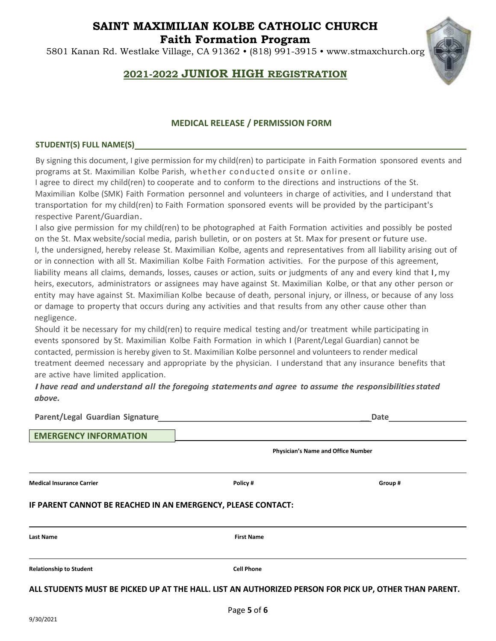## **SAINT MAXIMILIAN KOLBE CATHOLIC CHURCH Faith Formation Program**

5801 Kanan Rd. Westlake Village, CA 91362 • (818) 991-3915 • www.stmaxchurch.org



## **2021-2022 JUNIOR HIGH REGISTRATION**

#### **MEDICAL RELEASE / PERMISSION FORM**

#### **STUDENT(S) FULL NAME(S)**

By signing this document, I give permission for my child(ren) to participate in Faith Formation sponsored events and programs at St. Maximilian Kolbe Parish, whether conducted onsite or online.

I agree to direct my child(ren) to cooperate and to conform to the directions and instructions of the St. Maximilian Kolbe (SMK) Faith Formation personnel and volunteers in charge of activities, and I understand that transportation for my child(ren) to Faith Formation sponsored events will be provided by the participant's respective Parent/Guardian.

I also give permission for my child(ren) to be photographed at Faith Formation activities and possibly be posted on the St. Max website/social media, parish bulletin, or on posters at St. Max for present or future use. I, the undersigned, hereby release St. Maximilian Kolbe, agents and representatives from all liability arising out of or in connection with all St. Maximilian Kolbe Faith Formation activities. For the purpose of this agreement, liability means all claims, demands, losses, causes or action, suits or judgments of any and every kind that I, my heirs, executors, administrators or assignees may have against St. Maximilian Kolbe, or that any other person or entity may have against St. Maximilian Kolbe because of death, personal injury, or illness, or because of any loss or damage to property that occurs during any activities and that results from any other cause other than negligence.

Should it be necessary for my child(ren) to require medical testing and/or treatment while participating in events sponsored by St. Maximilian Kolbe Faith Formation in which I (Parent/Legal Guardian) cannot be contacted, permission is hereby given to St. Maximilian Kolbe personnel and volunteers to render medical treatment deemed necessary and appropriate by the physician. I understand that any insurance benefits that are active have limited application.

*I have read and understand all the foregoing statements and agree to assume the responsibilitiesstated above.* 

| Parent/Legal Guardian Signature                                                                       | Date              |                                           |  |  |  |
|-------------------------------------------------------------------------------------------------------|-------------------|-------------------------------------------|--|--|--|
| <b>EMERGENCY INFORMATION</b>                                                                          |                   |                                           |  |  |  |
|                                                                                                       |                   | <b>Physician's Name and Office Number</b> |  |  |  |
| <b>Medical Insurance Carrier</b>                                                                      | Policy #          | Group#                                    |  |  |  |
| IF PARENT CANNOT BE REACHED IN AN EMERGENCY, PLEASE CONTACT:                                          |                   |                                           |  |  |  |
| Last Name                                                                                             | <b>First Name</b> |                                           |  |  |  |
| <b>Relationship to Student</b>                                                                        | <b>Cell Phone</b> |                                           |  |  |  |
| ALL STUDENTS MUST BE PICKED UP AT THE HALL. LIST AN AUTHORIZED PERSON FOR PICK UP, OTHER THAN PARENT. |                   |                                           |  |  |  |